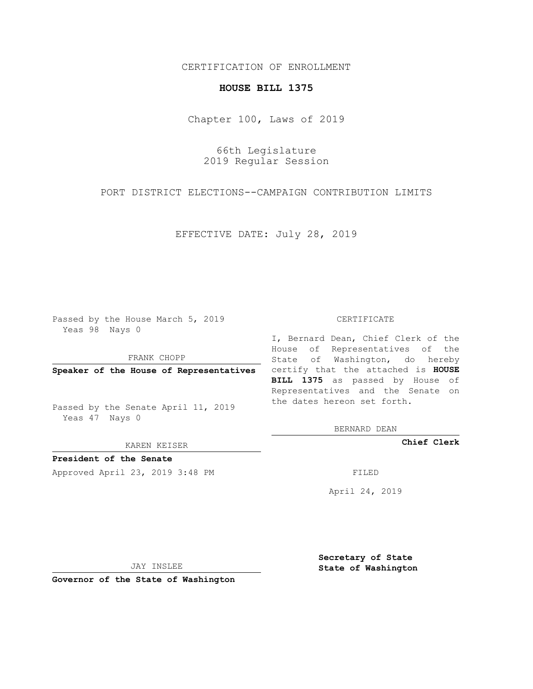## CERTIFICATION OF ENROLLMENT

## **HOUSE BILL 1375**

Chapter 100, Laws of 2019

66th Legislature 2019 Regular Session

PORT DISTRICT ELECTIONS--CAMPAIGN CONTRIBUTION LIMITS

EFFECTIVE DATE: July 28, 2019

Passed by the House March 5, 2019 Yeas 98 Nays 0

FRANK CHOPP

Passed by the Senate April 11, 2019 Yeas 47 Nays 0

KAREN KEISER

**President of the Senate**

Approved April 23, 2019 3:48 PM FILED

## CERTIFICATE

**Speaker of the House of Representatives** certify that the attached is **HOUSE** I, Bernard Dean, Chief Clerk of the House of Representatives of the State of Washington, do hereby **BILL 1375** as passed by House of Representatives and the Senate on the dates hereon set forth.

BERNARD DEAN

**Chief Clerk**

April 24, 2019

JAY INSLEE

**Governor of the State of Washington**

**Secretary of State State of Washington**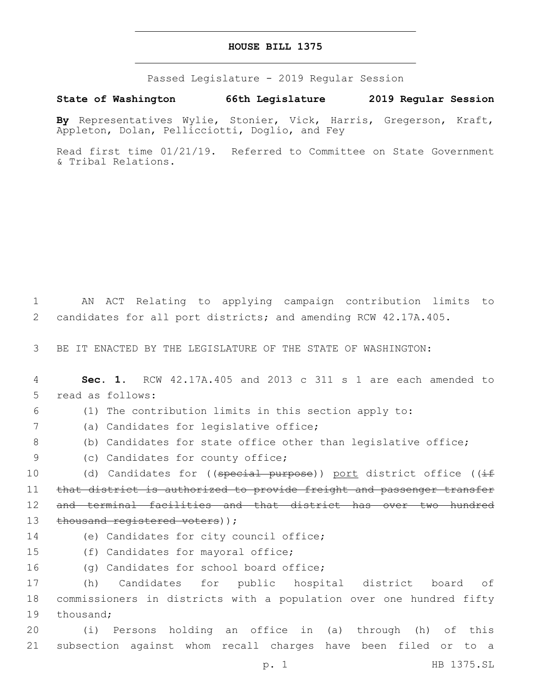## **HOUSE BILL 1375**

Passed Legislature - 2019 Regular Session

**State of Washington 66th Legislature 2019 Regular Session**

**By** Representatives Wylie, Stonier, Vick, Harris, Gregerson, Kraft, Appleton, Dolan, Pellicciotti, Doglio, and Fey

Read first time 01/21/19. Referred to Committee on State Government & Tribal Relations.

1 AN ACT Relating to applying campaign contribution limits to 2 candidates for all port districts; and amending RCW 42.17A.405.

3 BE IT ENACTED BY THE LEGISLATURE OF THE STATE OF WASHINGTON:

4 **Sec. 1.** RCW 42.17A.405 and 2013 c 311 s 1 are each amended to 5 read as follows:

6 (1) The contribution limits in this section apply to:

(a) Candidates for legislative office;7

- 8 (b) Candidates for state office other than legislative office;
- 9 (c) Candidates for county office;

10 (d) Candidates for ((special purpose)) port district office ((if 11 that district is authorized to provide freight and passenger transfer 12 and terminal facilities and that district has over two hundred 13 thousand registered voters));

14 (e) Candidates for city council office;

15 (f) Candidates for mayoral office;

16 (g) Candidates for school board office;

17 (h) Candidates for public hospital district board of 18 commissioners in districts with a population over one hundred fifty 19 thousand;

20 (i) Persons holding an office in (a) through (h) of this 21 subsection against whom recall charges have been filed or to a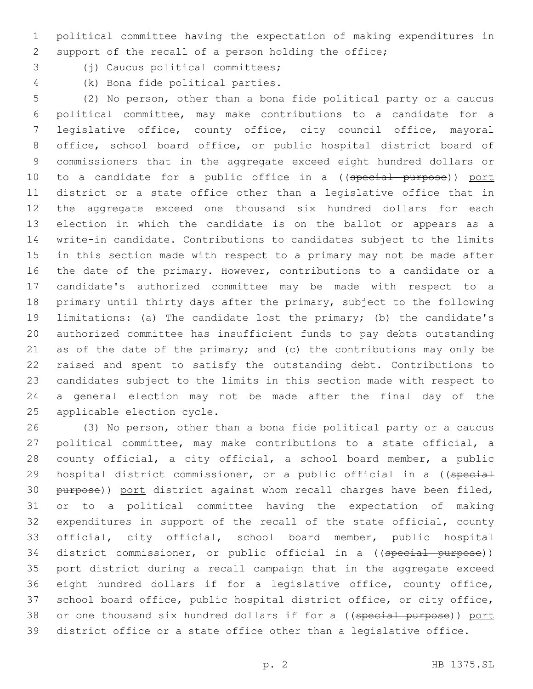political committee having the expectation of making expenditures in support of the recall of a person holding the office;

- 
- 3 (j) Caucus political committees;
- 
- (k) Bona fide political parties.4

 (2) No person, other than a bona fide political party or a caucus political committee, may make contributions to a candidate for a legislative office, county office, city council office, mayoral office, school board office, or public hospital district board of commissioners that in the aggregate exceed eight hundred dollars or 10 to a candidate for a public office in a ((special purpose)) port district or a state office other than a legislative office that in the aggregate exceed one thousand six hundred dollars for each election in which the candidate is on the ballot or appears as a write-in candidate. Contributions to candidates subject to the limits in this section made with respect to a primary may not be made after the date of the primary. However, contributions to a candidate or a candidate's authorized committee may be made with respect to a primary until thirty days after the primary, subject to the following limitations: (a) The candidate lost the primary; (b) the candidate's authorized committee has insufficient funds to pay debts outstanding as of the date of the primary; and (c) the contributions may only be raised and spent to satisfy the outstanding debt. Contributions to candidates subject to the limits in this section made with respect to a general election may not be made after the final day of the 25 applicable election cycle.

 (3) No person, other than a bona fide political party or a caucus political committee, may make contributions to a state official, a county official, a city official, a school board member, a public 29 hospital district commissioner, or a public official in a ((special 30 purpose)) port district against whom recall charges have been filed, or to a political committee having the expectation of making expenditures in support of the recall of the state official, county official, city official, school board member, public hospital 34 district commissioner, or public official in a ((special purpose)) 35 port district during a recall campaign that in the aggregate exceed eight hundred dollars if for a legislative office, county office, school board office, public hospital district office, or city office, 38 or one thousand six hundred dollars if for a ((special purpose)) port district office or a state office other than a legislative office.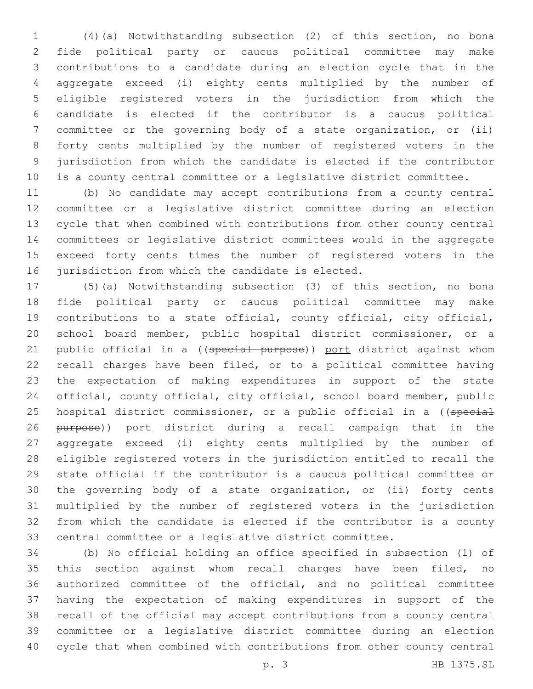(4)(a) Notwithstanding subsection (2) of this section, no bona fide political party or caucus political committee may make contributions to a candidate during an election cycle that in the aggregate exceed (i) eighty cents multiplied by the number of eligible registered voters in the jurisdiction from which the candidate is elected if the contributor is a caucus political committee or the governing body of a state organization, or (ii) forty cents multiplied by the number of registered voters in the jurisdiction from which the candidate is elected if the contributor is a county central committee or a legislative district committee.

 (b) No candidate may accept contributions from a county central committee or a legislative district committee during an election cycle that when combined with contributions from other county central committees or legislative district committees would in the aggregate exceed forty cents times the number of registered voters in the 16 jurisdiction from which the candidate is elected.

 (5)(a) Notwithstanding subsection (3) of this section, no bona fide political party or caucus political committee may make contributions to a state official, county official, city official, school board member, public hospital district commissioner, or a 21 public official in a ((special purpose)) port district against whom recall charges have been filed, or to a political committee having the expectation of making expenditures in support of the state official, county official, city official, school board member, public 25 hospital district commissioner, or a public official in a ((special 26 purpose)) port district during a recall campaign that in the aggregate exceed (i) eighty cents multiplied by the number of eligible registered voters in the jurisdiction entitled to recall the state official if the contributor is a caucus political committee or the governing body of a state organization, or (ii) forty cents multiplied by the number of registered voters in the jurisdiction from which the candidate is elected if the contributor is a county central committee or a legislative district committee.

 (b) No official holding an office specified in subsection (1) of this section against whom recall charges have been filed, no authorized committee of the official, and no political committee having the expectation of making expenditures in support of the recall of the official may accept contributions from a county central committee or a legislative district committee during an election cycle that when combined with contributions from other county central

p. 3 HB 1375.SL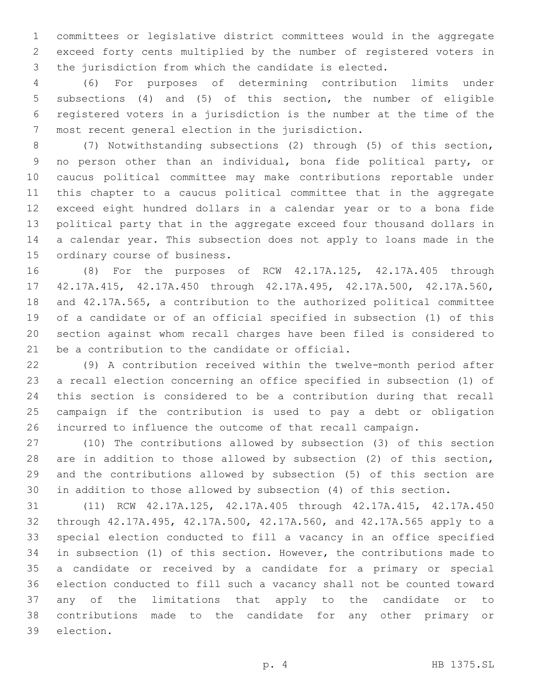committees or legislative district committees would in the aggregate exceed forty cents multiplied by the number of registered voters in the jurisdiction from which the candidate is elected.

 (6) For purposes of determining contribution limits under subsections (4) and (5) of this section, the number of eligible registered voters in a jurisdiction is the number at the time of the 7 most recent general election in the jurisdiction.

 (7) Notwithstanding subsections (2) through (5) of this section, no person other than an individual, bona fide political party, or caucus political committee may make contributions reportable under this chapter to a caucus political committee that in the aggregate exceed eight hundred dollars in a calendar year or to a bona fide political party that in the aggregate exceed four thousand dollars in a calendar year. This subsection does not apply to loans made in the 15 ordinary course of business.

 (8) For the purposes of RCW 42.17A.125, 42.17A.405 through 42.17A.415, 42.17A.450 through 42.17A.495, 42.17A.500, 42.17A.560, and 42.17A.565, a contribution to the authorized political committee of a candidate or of an official specified in subsection (1) of this section against whom recall charges have been filed is considered to 21 be a contribution to the candidate or official.

 (9) A contribution received within the twelve-month period after a recall election concerning an office specified in subsection (1) of this section is considered to be a contribution during that recall campaign if the contribution is used to pay a debt or obligation incurred to influence the outcome of that recall campaign.

 (10) The contributions allowed by subsection (3) of this section are in addition to those allowed by subsection (2) of this section, and the contributions allowed by subsection (5) of this section are in addition to those allowed by subsection (4) of this section.

 (11) RCW 42.17A.125, 42.17A.405 through 42.17A.415, 42.17A.450 through 42.17A.495, 42.17A.500, 42.17A.560, and 42.17A.565 apply to a special election conducted to fill a vacancy in an office specified in subsection (1) of this section. However, the contributions made to a candidate or received by a candidate for a primary or special election conducted to fill such a vacancy shall not be counted toward any of the limitations that apply to the candidate or to contributions made to the candidate for any other primary or 39 election.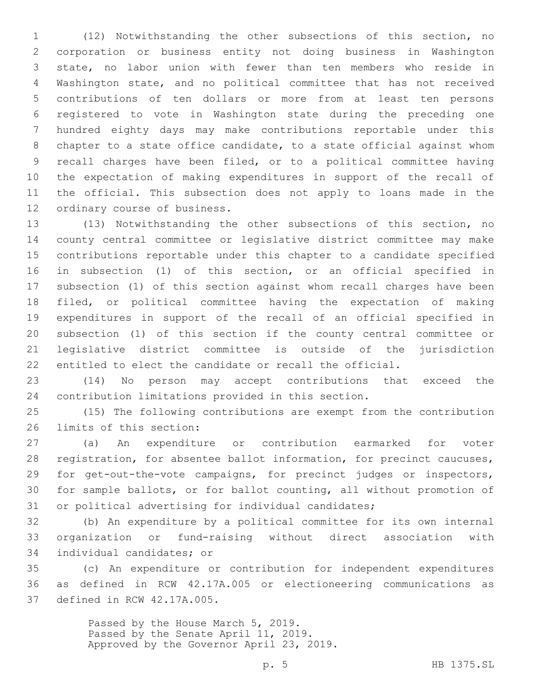(12) Notwithstanding the other subsections of this section, no corporation or business entity not doing business in Washington state, no labor union with fewer than ten members who reside in Washington state, and no political committee that has not received contributions of ten dollars or more from at least ten persons registered to vote in Washington state during the preceding one hundred eighty days may make contributions reportable under this chapter to a state office candidate, to a state official against whom recall charges have been filed, or to a political committee having the expectation of making expenditures in support of the recall of the official. This subsection does not apply to loans made in the 12 ordinary course of business.

 (13) Notwithstanding the other subsections of this section, no county central committee or legislative district committee may make contributions reportable under this chapter to a candidate specified in subsection (1) of this section, or an official specified in subsection (1) of this section against whom recall charges have been filed, or political committee having the expectation of making expenditures in support of the recall of an official specified in subsection (1) of this section if the county central committee or legislative district committee is outside of the jurisdiction entitled to elect the candidate or recall the official.

 (14) No person may accept contributions that exceed the contribution limitations provided in this section.

 (15) The following contributions are exempt from the contribution 26 limits of this section:

 (a) An expenditure or contribution earmarked for voter registration, for absentee ballot information, for precinct caucuses, for get-out-the-vote campaigns, for precinct judges or inspectors, for sample ballots, or for ballot counting, all without promotion of or political advertising for individual candidates;

 (b) An expenditure by a political committee for its own internal organization or fund-raising without direct association with 34 individual candidates; or

 (c) An expenditure or contribution for independent expenditures as defined in RCW 42.17A.005 or electioneering communications as 37 defined in RCW 42.17A.005.

> Passed by the House March 5, 2019. Passed by the Senate April 11, 2019. Approved by the Governor April 23, 2019.